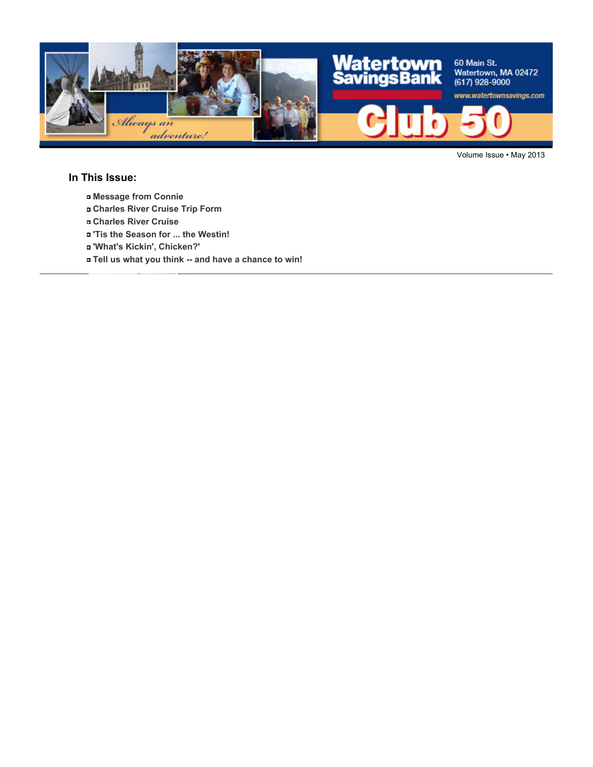

Volume Issue • May 2013

#### **In This Issue:**

- **Message from Connie**
- **Charles River Cruise Trip Form**
- **Charles River Cruise**
- **'Tis the Season for ... the Westin!**
- **'What's Kickin', Chicken?'**
- **Tell us what you think -- and have a chance to win!**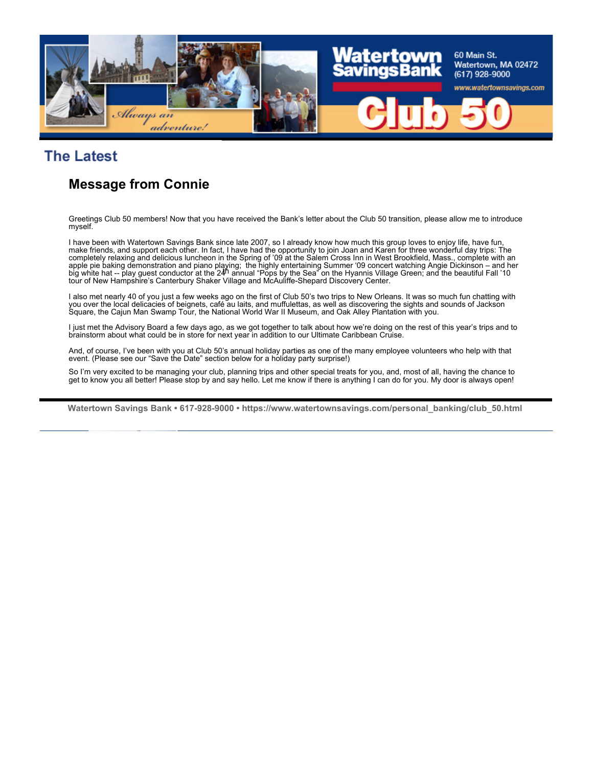

# **The Latest**

## **Message from Connie**

Greetings Club 50 members! Now that you have received the Bank's letter about the Club 50 transition, please allow me to introduce myself.

I have been with Watertown Savings Bank since late 2007, so I already know how much this group loves to enjoy life, have fun, make friends, and support each other. In fact, I have had the opportunity to join Joan and Karen for three wonderful day trips: The completely relaxing and delicious luncheon in the Spring of '09 at the Salem Cross Inn in West Brookfield, Mass., complete with an apple pie baking demonstration and piano playing; the highly entertaining Summer '09 concert watching Angie Dickinson – and her<br>big white hat -- play guest conductor at the 24<sup>h</sup> annual "Pops by the Sea" on the Hyannis Vi tour of New Hampshire's Canterbury Shaker Village and McAuliffe-Shepard Discovery Center.

I also met nearly 40 of you just a few weeks ago on the first of Club 50's two trips to New Orleans. It was so much fun chatting with you over the local delicacies of beignets, café au laits, and muffulettas, as well as discovering the sights and sounds of Jackson Square, the Cajun Man Swamp Tour, the National World War II Museum, and Oak Alley Plantation with you.

I just met the Advisory Board a few days ago, as we got together to talk about how we're doing on the rest of this year's trips and to brainstorm about what could be in store for next year in addition to our Ultimate Caribbean Cruise.

And, of course, I've been with you at Club 50's annual holiday parties as one of the many employee volunteers who help with that event. (Please see our "Save the Date" section below for a holiday party surprise!)

So I'm very excited to be managing your club, planning trips and other special treats for you, and, most of all, having the chance to get to know you all better! Please stop by and say hello. Let me know if there is anything I can do for you. My door is always open!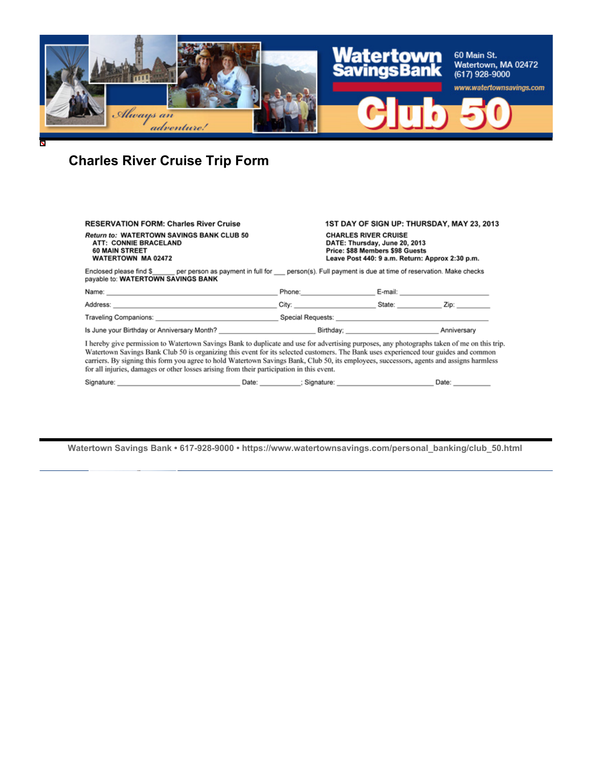

# **Charles River Cruise Trip Form**

| <b>RESERVATION FORM: Charles River Cruise</b>                                                                                                                                                                                                                                                                                                                                                                                                                                                                                |  | 1ST DAY OF SIGN UP: THURSDAY, MAY 23, 2013                                                                                                         |                    |
|------------------------------------------------------------------------------------------------------------------------------------------------------------------------------------------------------------------------------------------------------------------------------------------------------------------------------------------------------------------------------------------------------------------------------------------------------------------------------------------------------------------------------|--|----------------------------------------------------------------------------------------------------------------------------------------------------|--------------------|
| <b>Return to: WATERTOWN SAVINGS BANK CLUB 50</b><br>ATT: CONNIE BRACELAND<br><b>60 MAIN STREET</b><br><b>WATERTOWN MA 02472</b>                                                                                                                                                                                                                                                                                                                                                                                              |  | <b>CHARLES RIVER CRUISE</b><br>DATE: Thursday, June 20, 2013<br>Price: \$88 Members \$98 Guests<br>Leave Post 440: 9 a.m. Return: Approx 2:30 p.m. |                    |
| Enclosed please find \$ _ per person as payment in full for _ person(s). Full payment is due at time of reservation. Make checks<br>payable to: WATERTOWN SAVINGS BANK                                                                                                                                                                                                                                                                                                                                                       |  |                                                                                                                                                    |                    |
| Name: 2008. 2009. 2009. 2009. 2009. 2009. 2009. 2009. 2009. 2009. 2009. 2009. 2009. 2009. 2009. 2009. 2009. 20                                                                                                                                                                                                                                                                                                                                                                                                               |  | Phone: E-mail: E-mail:                                                                                                                             |                    |
|                                                                                                                                                                                                                                                                                                                                                                                                                                                                                                                              |  |                                                                                                                                                    |                    |
|                                                                                                                                                                                                                                                                                                                                                                                                                                                                                                                              |  |                                                                                                                                                    |                    |
| Is June your Birthday or Anniversary Month? <b>Example 20 and Section</b> Birthday; <b>Example 20 and Section</b> 2011 2012                                                                                                                                                                                                                                                                                                                                                                                                  |  |                                                                                                                                                    |                    |
| I hereby give permission to Watertown Savings Bank to duplicate and use for advertising purposes, any photographs taken of me on this trip.<br>Watertown Savings Bank Club 50 is organizing this event for its selected customers. The Bank uses experienced tour guides and common<br>carriers. By signing this form you agree to hold Watertown Savings Bank, Club 50, its employees, successors, agents and assigns harmless<br>for all injuries, damages or other losses arising from their participation in this event. |  |                                                                                                                                                    |                    |
| Signature: Contract of Contract Contract Contract Contract Contract Contract Contract Contract Contract Contract Contract Contract Contract Contract Contract Contract Contract Contract Contract Contract Contract Contract C                                                                                                                                                                                                                                                                                               |  |                                                                                                                                                    | Date: <b>Date:</b> |
|                                                                                                                                                                                                                                                                                                                                                                                                                                                                                                                              |  |                                                                                                                                                    |                    |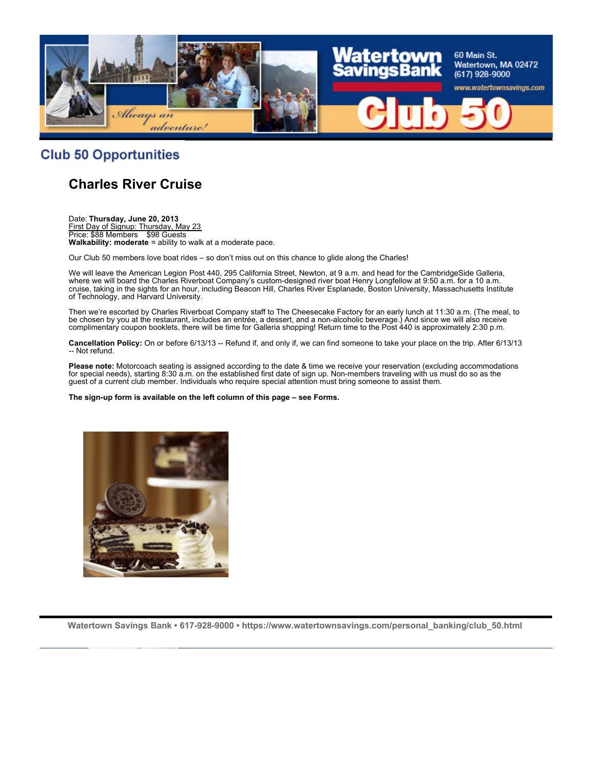

#### **Club 50 Opportunities**

### **Charles River Cruise**

Date: **Thursday, June 20, 2013** First Day of Signup: Thursday, May 23 Price: \$88 Members \$98 Guests **Walkability: moderate** = ability to walk at a moderate pace.

Our Club 50 members love boat rides – so don't miss out on this chance to glide along the Charles!

We will leave the American Legion Post 440, 295 California Street, Newton, at 9 a.m. and head for the CambridgeSide Galleria, where we will board the Charles Riverboat Company's custom-designed river boat Henry Longfellow at 9:50 a.m. for a 10 a.m. cruise, taking in the sights for an hour, including Beacon Hill, Charles River Esplanade, Boston University, Massachusetts Institute of Technology, and Harvard University.

Then we're escorted by Charles Riverboat Company staff to The Cheesecake Factory for an early lunch at 11:30 a.m. (The meal, to be chosen by you at the restaurant, includes an entrée, a dessert, and a non-alcoholic beverage.) And since we will also receive complimentary coupon booklets, there will be time for Galleria shopping! Return time to the Post 440 is approximately 2:30 p.m.

**Cancellation Policy:** On or before 6/13/13 -- Refund if, and only if, we can find someone to take your place on the trip. After 6/13/13 -- Not refund.

**Please note:** Motorcoach seating is assigned according to the date & time we receive your reservation (excluding accommodations for special needs), starting 8:30 a.m. on the established first date of sign up. Non-members traveling with us must do so as the guest of a current club member. Individuals who require special attention must bring someone to assist them.

#### **The sign-up form is available on the left column of this page – see Forms.**

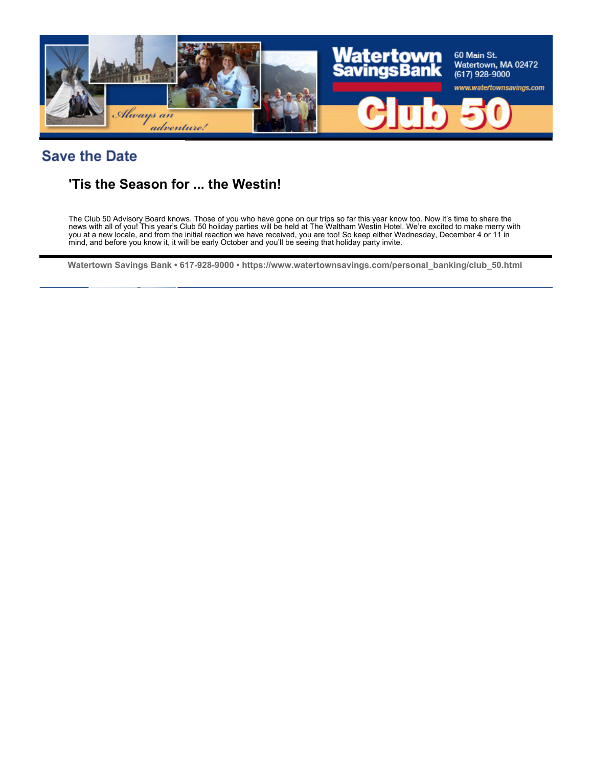

# **Save the Date**

## **'Tis the Season for ... the Westin!**

The Club 50 Advisory Board knows. Those of you who have gone on our trips so far this year know too. Now it's time to share the news with all of you! This year's Club 50 holiday parties will be held at The Waltham Westin Hotel. We're excited to make merry with you at a new locale, and from the initial reaction we have received, you are too! So keep either Wednesday, December 4 or 11 in mind, and before you know it, it will be early October and you'll be seeing that holiday party invite.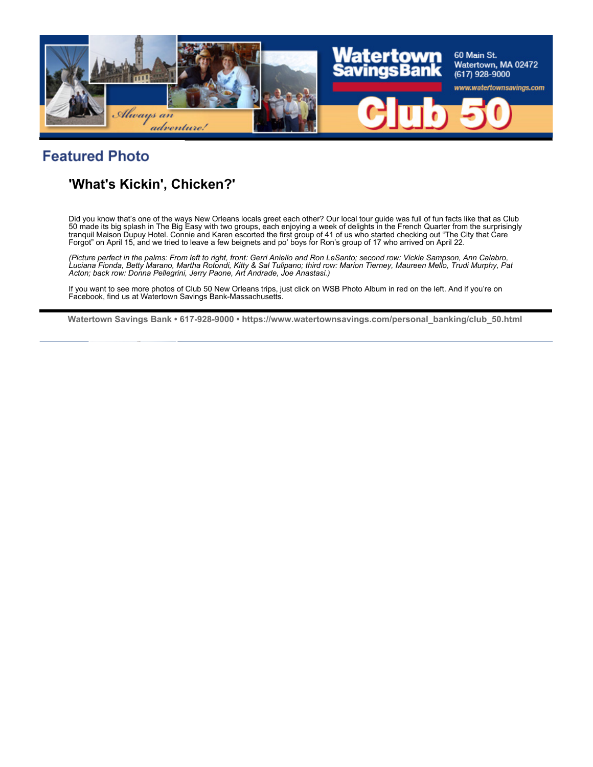

# **Featured Photo**

# **'What's Kickin', Chicken?'**

Did you know that's one of the ways New Orleans locals greet each other? Our local tour guide was full of fun facts like that as Club 50 made its big splash in The Big Easy with two groups, each enjoying a week of delights in the French Quarter from the surprisingly tranquil Maison Dupuy Hotel. Connie and Karen escorted the first group of 41 of us who started checking out "The City that Care Forgot" on April 15, and we tried to leave a few beignets and po' boys for Ron's group of 17 who arrived on April 22.

*(Picture perfect in the palms: From left to right, front: Gerri Aniello and Ron LeSanto; second row: Vickie Sampson, Ann Calabro, Luciana Fionda, Betty Marano, Martha Rotondi, Kitty & Sal Tulipano; third row: Marion Tierney, Maureen Mello, Trudi Murphy, Pat Acton; back row: Donna Pellegrini, Jerry Paone, Art Andrade, Joe Anastasi.)*

If you want to see more photos of Club 50 New Orleans trips, just click on WSB Photo Album in red on the left. And if you're on Facebook, find us at Watertown Savings Bank-Massachusetts.